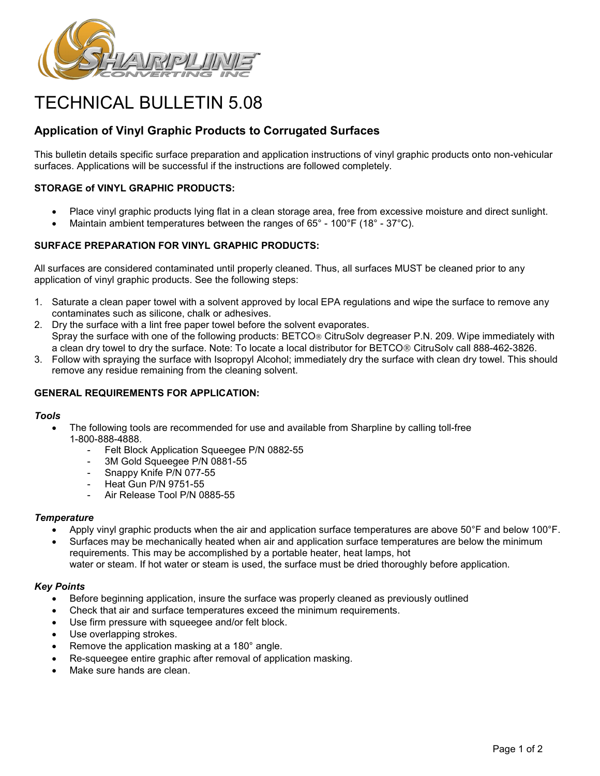

# TECHNICAL BULLETIN 5.08

# **Application of Vinyl Graphic Products to Corrugated Surfaces**

This bulletin details specific surface preparation and application instructions of vinyl graphic products onto non-vehicular surfaces. Applications will be successful if the instructions are followed completely.

# **STORAGE of VINYL GRAPHIC PRODUCTS:**

- Place vinyl graphic products lying flat in a clean storage area, free from excessive moisture and direct sunlight.
- Maintain ambient temperatures between the ranges of  $65^{\circ}$  100 $^{\circ}$ F (18 $^{\circ}$  37 $^{\circ}$ C).

## **SURFACE PREPARATION FOR VINYL GRAPHIC PRODUCTS:**

All surfaces are considered contaminated until properly cleaned. Thus, all surfaces MUST be cleaned prior to any application of vinyl graphic products. See the following steps:

- 1. Saturate a clean paper towel with a solvent approved by local EPA regulations and wipe the surface to remove any contaminates such as silicone, chalk or adhesives.
- 2. Dry the surface with a lint free paper towel before the solvent evaporates. Spray the surface with one of the following products: BETCO<sup>®</sup> CitruSolv degreaser P.N. 209. Wipe immediately with a clean dry towel to dry the surface. Note: To locate a local distributor for BETCO<sup>®</sup> CitruSolv call 888-462-3826.
- 3. Follow with spraying the surface with Isopropyl Alcohol; immediately dry the surface with clean dry towel. This should remove any residue remaining from the cleaning solvent.

### **GENERAL REQUIREMENTS FOR APPLICATION:**

#### *Tools*

- The following tools are recommended for use and available from Sharpline by calling toll-free 1-800-888-4888.
	- Felt Block Application Squeegee P/N 0882-55
	- 3M Gold Squeegee P/N 0881-55
	- Snappy Knife P/N 077-55
	- Heat Gun P/N 9751-55
	- Air Release Tool P/N 0885-55

#### *Temperature*

- Apply vinyl graphic products when the air and application surface temperatures are above 50°F and below 100°F.
- Surfaces may be mechanically heated when air and application surface temperatures are below the minimum requirements. This may be accomplished by a portable heater, heat lamps, hot water or steam. If hot water or steam is used, the surface must be dried thoroughly before application.

#### *Key Points*

- Before beginning application, insure the surface was properly cleaned as previously outlined
- Check that air and surface temperatures exceed the minimum requirements.
- Use firm pressure with squeegee and/or felt block.
- Use overlapping strokes.
- Remove the application masking at a 180° angle.
- Re-squeegee entire graphic after removal of application masking.
- Make sure hands are clean.